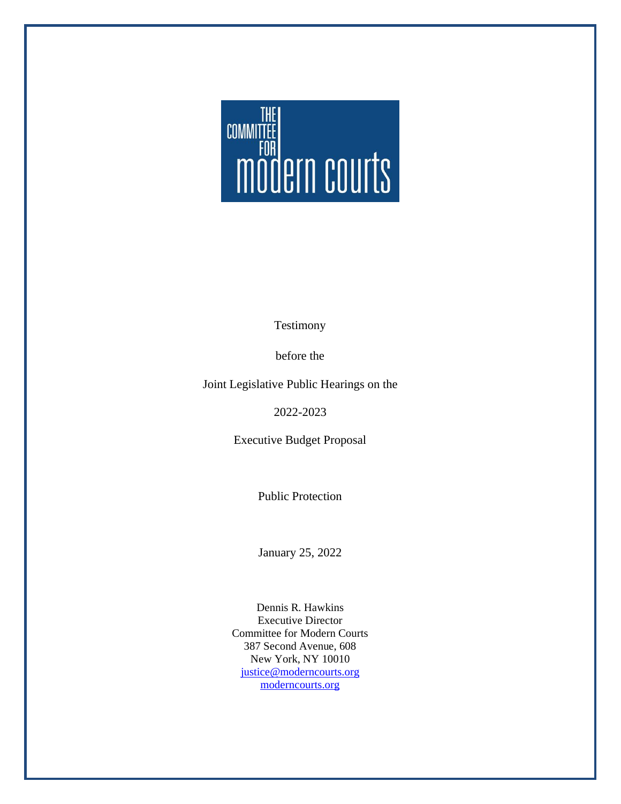

Testimony

before the

Joint Legislative Public Hearings on the

2022-2023

Executive Budget Proposal

Public Protection

January 25, 2022

Dennis R. Hawkins Executive Director Committee for Modern Courts 387 Second Avenue, 608 New York, NY 10010 [justice@moderncourts.org](mailto:justice@moderncourts.org) [moderncourts.org](http://moderncourts.org/)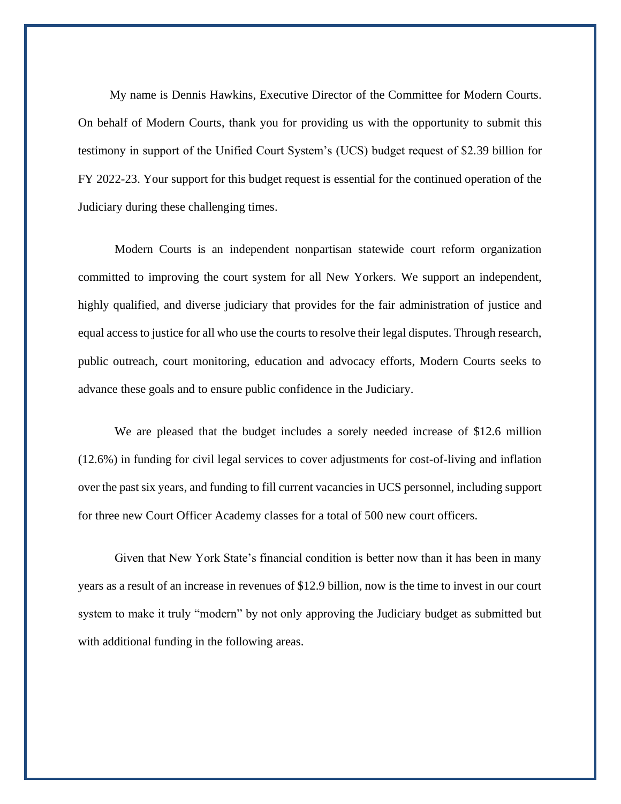My name is Dennis Hawkins, Executive Director of the Committee for Modern Courts. On behalf of Modern Courts, thank you for providing us with the opportunity to submit this testimony in support of the Unified Court System's (UCS) budget request of \$2.39 billion for FY 2022-23. Your support for this budget request is essential for the continued operation of the Judiciary during these challenging times.

Modern Courts is an independent nonpartisan statewide court reform organization committed to improving the court system for all New Yorkers. We support an independent, highly qualified, and diverse judiciary that provides for the fair administration of justice and equal access to justice for all who use the courts to resolve their legal disputes. Through research, public outreach, court monitoring, education and advocacy efforts, Modern Courts seeks to advance these goals and to ensure public confidence in the Judiciary.

We are pleased that the budget includes a sorely needed increase of \$12.6 million (12.6%) in funding for civil legal services to cover adjustments for cost-of-living and inflation over the past six years, and funding to fill current vacancies in UCS personnel, including support for three new Court Officer Academy classes for a total of 500 new court officers.

Given that New York State's financial condition is better now than it has been in many years as a result of an increase in revenues of \$12.9 billion, now is the time to invest in our court system to make it truly "modern" by not only approving the Judiciary budget as submitted but with additional funding in the following areas.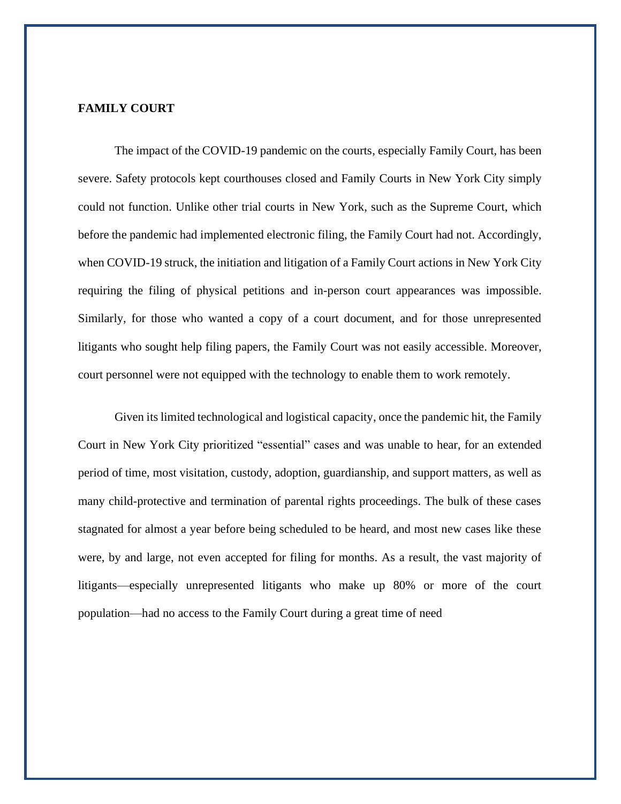# **FAMILY COURT**

The impact of the COVID-19 pandemic on the courts, especially Family Court, has been severe. Safety protocols kept courthouses closed and Family Courts in New York City simply could not function. Unlike other trial courts in New York, such as the Supreme Court, which before the pandemic had implemented electronic filing, the Family Court had not. Accordingly, when COVID-19 struck, the initiation and litigation of a Family Court actions in New York City requiring the filing of physical petitions and in-person court appearances was impossible. Similarly, for those who wanted a copy of a court document, and for those unrepresented litigants who sought help filing papers, the Family Court was not easily accessible. Moreover, court personnel were not equipped with the technology to enable them to work remotely.

Given its limited technological and logistical capacity, once the pandemic hit, the Family Court in New York City prioritized "essential" cases and was unable to hear, for an extended period of time, most visitation, custody, adoption, guardianship, and support matters, as well as many child-protective and termination of parental rights proceedings. The bulk of these cases stagnated for almost a year before being scheduled to be heard, and most new cases like these were, by and large, not even accepted for filing for months. As a result, the vast majority of litigants—especially unrepresented litigants who make up 80% or more of the court population—had no access to the Family Court during a great time of need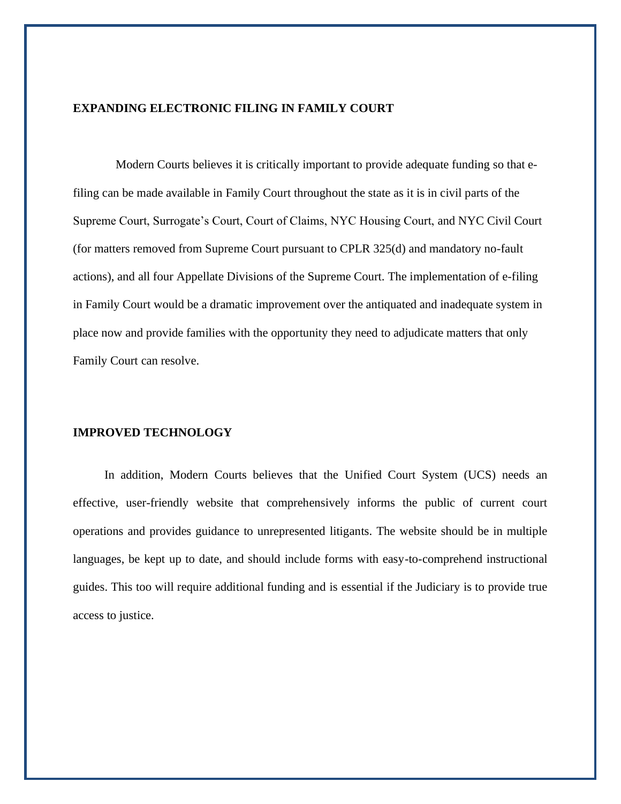# **EXPANDING ELECTRONIC FILING IN FAMILY COURT**

Modern Courts believes it is critically important to provide adequate funding so that efiling can be made available in Family Court throughout the state as it is in civil parts of the Supreme Court, Surrogate's Court, Court of Claims, NYC Housing Court, and NYC Civil Court (for matters removed from Supreme Court pursuant to CPLR 325(d) and mandatory no-fault actions), and all four Appellate Divisions of the Supreme Court. The implementation of e-filing in Family Court would be a dramatic improvement over the antiquated and inadequate system in place now and provide families with the opportunity they need to adjudicate matters that only Family Court can resolve.

#### **IMPROVED TECHNOLOGY**

In addition, Modern Courts believes that the Unified Court System (UCS) needs an effective, user-friendly website that comprehensively informs the public of current court operations and provides guidance to unrepresented litigants. The website should be in multiple languages, be kept up to date, and should include forms with easy-to-comprehend instructional guides. This too will require additional funding and is essential if the Judiciary is to provide true access to justice.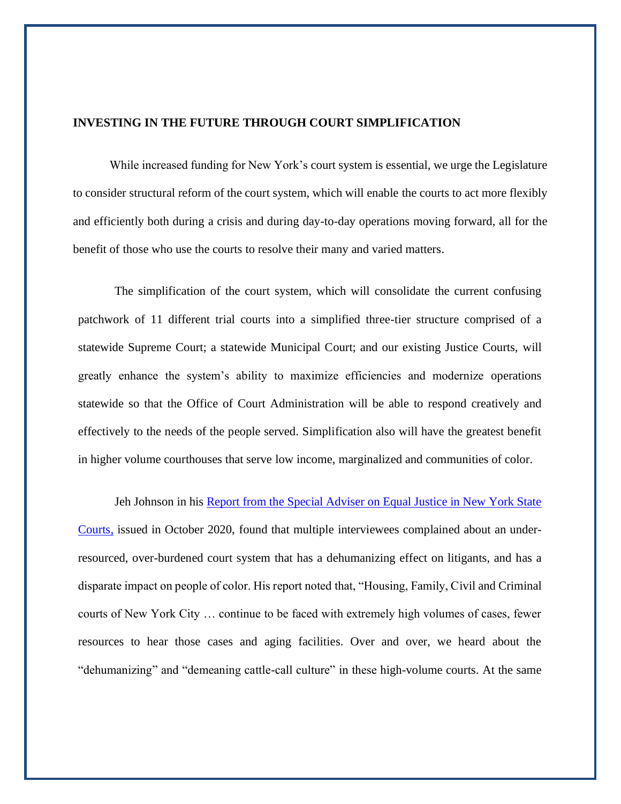### **INVESTING IN THE FUTURE THROUGH COURT SIMPLIFICATION**

While increased funding for New York's court system is essential, we urge the Legislature to consider structural reform of the court system, which will enable the courts to act more flexibly and efficiently both during a crisis and during day-to-day operations moving forward, all for the benefit of those who use the courts to resolve their many and varied matters.

The simplification of the court system, which will consolidate the current confusing patchwork of 11 different trial courts into a simplified three-tier structure comprised of a statewide Supreme Court; a statewide Municipal Court; and our existing Justice Courts, will greatly enhance the system's ability to maximize efficiencies and modernize operations statewide so that the Office of Court Administration will be able to respond creatively and effectively to the needs of the people served. Simplification also will have the greatest benefit in higher volume courthouses that serve low income, marginalized and communities of color.

Jeh Johnson in his Report from the Special Adviser on Equal Justice in New York State [Courts,](https://nycourts.gov/whatsnew/pdf/SpecialAdviserEqualJusticeReport.pdf) issued in October 2020, found that multiple interviewees complained about an underresourced, over-burdened court system that has a dehumanizing effect on litigants, and has a disparate impact on people of color. His report noted that, "Housing, Family, Civil and Criminal courts of New York City … continue to be faced with extremely high volumes of cases, fewer resources to hear those cases and aging facilities. Over and over, we heard about the "dehumanizing" and "demeaning cattle-call culture" in these high-volume courts. At the same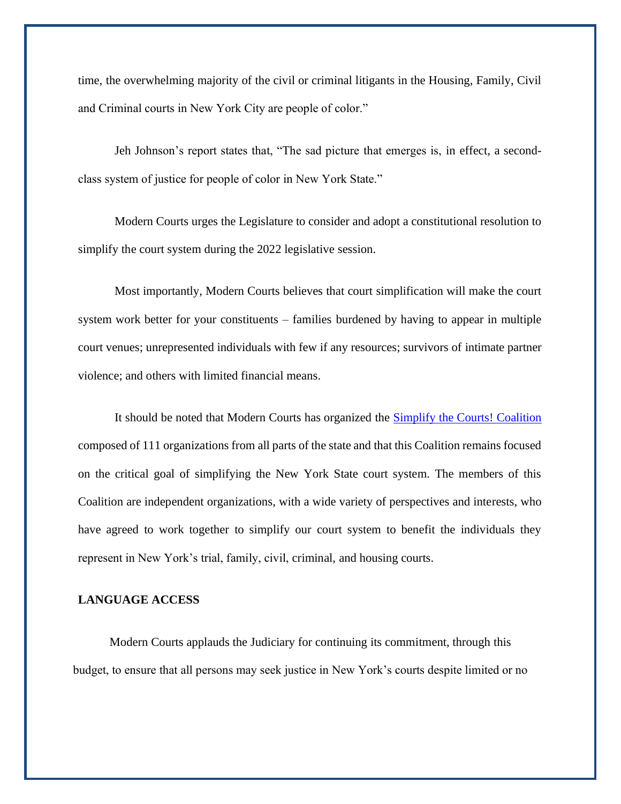time, the overwhelming majority of the civil or criminal litigants in the Housing, Family, Civil and Criminal courts in New York City are people of color."

Jeh Johnson's report states that, "The sad picture that emerges is, in effect, a secondclass system of justice for people of color in New York State."

Modern Courts urges the Legislature to consider and adopt a constitutional resolution to simplify the court system during the 2022 legislative session.

Most importantly, Modern Courts believes that court simplification will make the court system work better for your constituents – families burdened by having to appear in multiple court venues; unrepresented individuals with few if any resources; survivors of intimate partner violence; and others with limited financial means.

It should be noted that Modern Courts has organized the [Simplify the Courts! Coalition](https://simplifynycourts.org/) composed of 111 organizations from all parts of the state and that this Coalition remains focused on the critical goal of simplifying the New York State court system. The members of this Coalition are independent organizations, with a wide variety of perspectives and interests, who have agreed to work together to simplify our court system to benefit the individuals they represent in New York's trial, family, civil, criminal, and housing courts.

## **LANGUAGE ACCESS**

Modern Courts applauds the Judiciary for continuing its commitment, through this budget, to ensure that all persons may seek justice in New York's courts despite limited or no